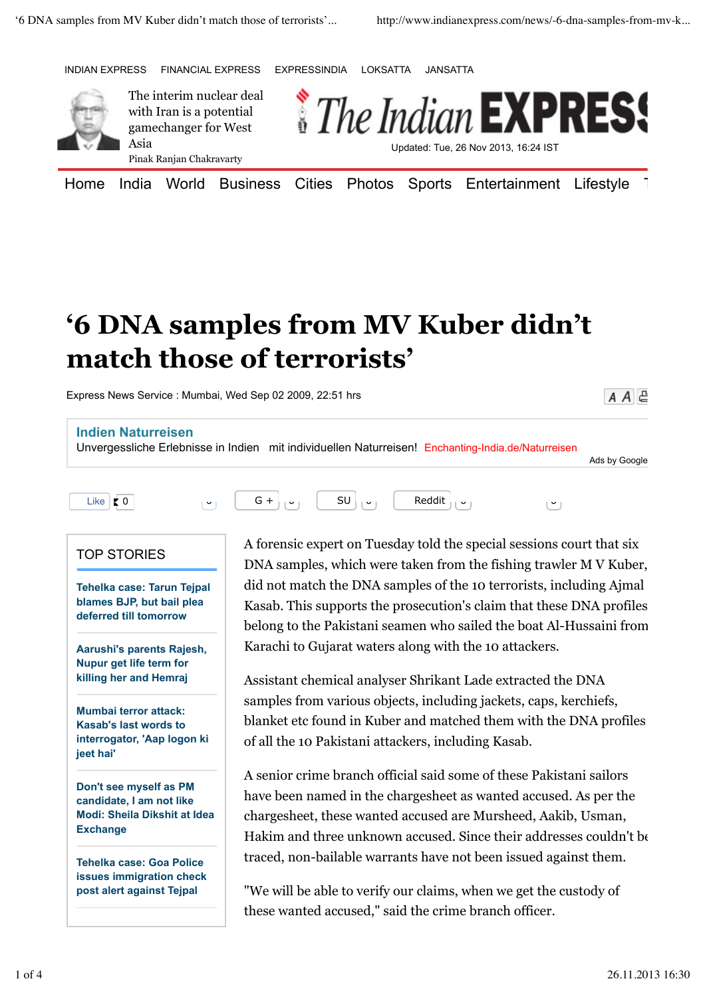INDIAN EXPRESS FINANCIAL EXPRESS EXPRESSINDIA LOKSATTA JANSATTA



The interim nuclear deal with Iran is a potential gamechanger for West Asia Pinak Ranjan Chakravarty



Home India World Business Cities Photos Sports Entertainment Lifestyle 1

 $A \overline{A} \subseteq$ 

## **'6 DNA samples from MV Kuber didn't match those of terrorists'**

Express News Service : Mumbai, Wed Sep 02 2009, 22:51 hrs



"We will be able to verify our claims, when we get the custody of these wanted accused," said the crime branch officer.

**post alert against Tejpal**